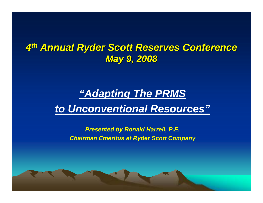### *4th Annual Ryder Scott Reserves Conference Annual Ryder Scott Reserves Conference May 9, 2008 May 9, 2008*

### *"Adapting The PRMS to Unconventional Resources"*

*Presented by Ronald Harrell, P.E. Chairman Emeritus at Ryder Scott Company*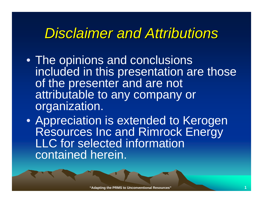# *Disclaimer and Attributions Disclaimer and Attributions*

- The opinions and conclusions included in this presentation are those of the presenter and are not attributable to any company or organization.
- Appreciation is extended to Kerogen Resources Inc and Rimrock Energy LLC for selected information contained herein.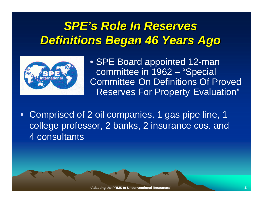## *SPE's Role In Reserves Definitions Began 46 Years Ago Definitions Began 46 Years Ago*



- SPE Board appointed 12-man committee in 1962 – "Special Committee On Definitions Of Proved Reserves For Property Evaluation"
- Comprised of 2 oil companies, 1 gas pipe line, 1 college professor, 2 banks, 2 insurance cos. and 4 consultants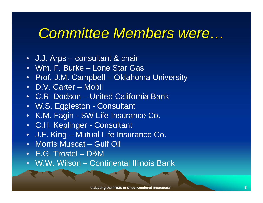# *Committee Members were...*

- J.J. Arps consultant & chair
- Wm. F. Burke Lone Star Gas
- Prof. J.M. Campbell Oklahoma University
- D.V. Carter Mobil
- C.R. Dodson United California Bank
- W.S. Eggleston Consultant
- K.M. Fagin SW Life Insurance Co.
- C.H. Keplinger Consultant
- J.F. King Mutual Life Insurance Co.
- Morris Muscat Gulf Oil
- E.G. Trostel D&M
- W.W. Wilson Continental Illinois Bank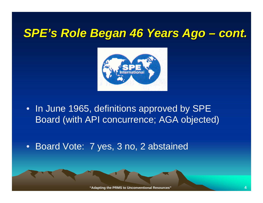#### *SPE's Role Began 46 Years Ago cont.*



• In June 1965, definitions approved by SPE Board (with API concurrence; AGA objected)

•Board Vote: 7 yes, 3 no, 2 abstained

**"Adapting the PRMS to Unconventional Resources"**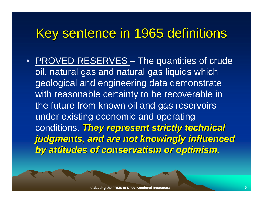# Key sentence in 1965 definitions

• **PROVED RESERVES** – The quantities of crude oil, natural gas and natural gas liquids which geological and engineering data demonstrate with reasonable certainty to be recoverable in the future from known oil and gas reservoirs under existing economic and operating conditions. **They represent strictly technical** *judgments, and are not knowingly influenced judgments, and are not knowingly influenced by attitudes of conservatism or optimism. by attitudes of conservatism or optimism.*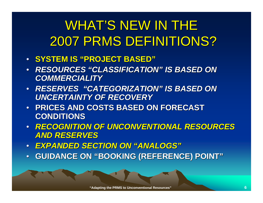# WHAT'S NEW IN THE 2007 PRMS DEFINITIONS?

- **SYSTEM IS SYSTEM IS "PROJECT BASED PROJECT BASED"**
- • *RESOURCES RESOURCES "CLASSIFICATION CLASSIFICATION" IS BASED ON IS BASED ON COMMERCIALITY COMMERCIALITY*
- *RESERVES RESERVES "CATEGORIZATION CATEGORIZATION" IS BASED ON IS BASED ON UNCERTAINTY OF RECOVERY UNCERTAINTY OF RECOVERY*
- **PRICES AND COSTS BASED ON FORECAST PRICES AND COSTS BASED ON FORECAST CONDITIONS CONDITIONS**
- *RECOGNITION OF UNCONVENTIONAL RESOURCES RECOGNITION OF UNCONVENTIONAL RESOURCES AND RESERVES AND RESERVES*
- • $\bullet$  EXPANDED SECTION ON "ANALOGS"
- $\bullet$ • GUIDANCE ON "BOOKING (REFERENCE) POINT"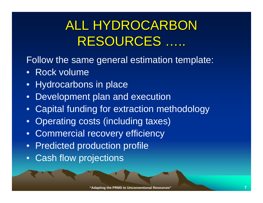# ALL HYDROCARBON RESOURCES .....

- Follow the same general estimation template:
- Rock volume
- •Hydrocarbons in place
- Development plan and execution
- $\bullet$ Capital funding for extraction methodology
- $\bullet$ Operating costs (including taxes)
- Commercial recovery efficiency
- •Predicted production profile
- $\bullet$ Cash flow projections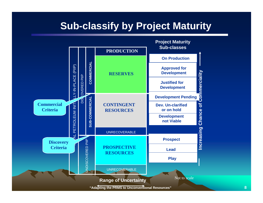### **Sub-classify by Project Maturity**

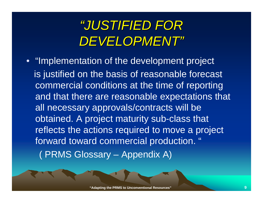# *"JUSTIFIED FOR JUSTIFIED FOR DEVELOPMENT DEVELOPMENT"*

• "Implementation of the development project is justified on the basis of reasonable forecast commercial conditions at the time of reporting and that there are reasonable expectations that all necessary approvals/contracts will be obtained. A project maturity sub-class that reflects the actions required to move a project forward toward commercial production. " ( PRMS Glossary – Appendix A)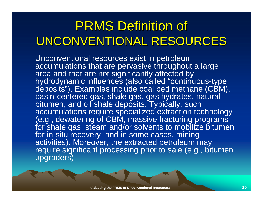# **PRMS Definition of** UNCONVENTIONAL RESOURCES

Unconventional resources exist in petroleum accumulations that are pervasive throughout a large area and that are not significantly affected by hydrodynamic influences (also called "continuous-type deposits"). Examples include coal bed methane (CBM), basin-centered gas, shale gas, gas hydrates, natural bitumen, and oil shale deposits. Typically, such accumulations require specialized extraction technology (e.g., dewatering of CBM, massive fracturing programs for shale gas, steam and/or solvents to mobilize bitumen for in-situ recovery, and in some cases, mining activities). Moreover, the extracted petroleum may require significant processing prior to sale (e.g., bitumen upgraders).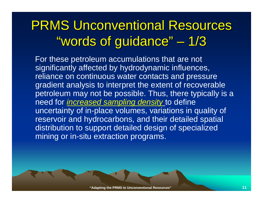#### PRMS Unconventional Resources "words of guidance" 1/3

For these petroleum accumulations that are not significantly affected by hydrodynamic influences, reliance on continuous water contacts and pressure gradient analysis to interpret the extent of recoverable petroleum may not be possible. Thus, there typically is a need for *increased sampling density* to define uncertainty of in-place volumes, variations in quality of reservoir and hydrocarbons, and their detailed spatial distribution to support detailed design of specialized mining or in-situ extraction programs.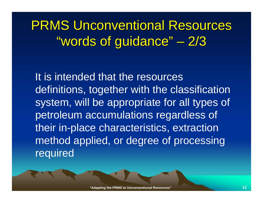#### PRMS Unconventional Resources "words of guidance" 2/3

It is intended that the resources definitions, together with the classification system, will be appropriate for all types of petroleum accumulations regardless of their in-place characteristics, extraction method applied, or degree of processing required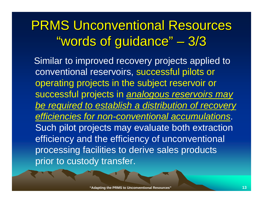#### **PRMS Unconventional Resources** "words of guidance" 3/3

Similar to improved recovery projects applied to conventional reservoirs, successful pilots or operating projects in the subject reservoir or successful projects in *analogous reservoirs may be required to establish a distribution of recovery efficiencies for non-conventional accumulations*. Such pilot projects may evaluate both extraction efficiency and the efficiency of unconventional processing facilities to derive sales products prior to custody transfer.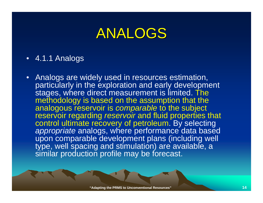# ANALOGS

- 4.1.1 Analogs
- • Analogs are widely used in resources estimation, particularly in the exploration and early development stages, where direct measurement is limited. The methodology is based on the assumption that the analogous reservoir is *comparable* to the subject reservoir regarding *reservoir* and fluid properties that control ultimate recovery of petroleum. By selecting *appropriate* analogs, where performance data based upon comparable development plans (including well type, well spacing and stimulation) are available, a similar production profile may be forecast.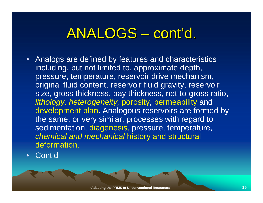#### ANALOGS · cont 'd.

- Analogs are defined by features and characteristics including, but not limited to, approximate depth, pressure, temperature, reservoir drive mechanism, original fluid content, reservoir fluid gravity, reservoir size, gross thickness, pay thickness, net-to-gross ratio, *lithology, heterogeneity,* porosity, permeability and development plan. Analogous reservoirs are formed by the same, or very similar, processes with regard to sedimentation, diagenesis, pressure, temperature, *chemical and mechanical* history and structural deformation.
- •Cont'd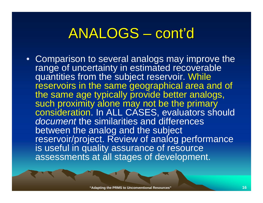#### ANALOGS · cont ' $\overline{\textbf{0}}$

• Comparison to several analogs may improve the range of uncertainty in estimated recoverable quantities from the subject reservoir. While reservoirs in the same geographical area and of the same age typically provide better analogs, such proximity alone may not be the primary consideration. In ALL CASES, evaluators should *document* the similarities and differences between the analog and the subject reservoir/project. Review of analog performance is useful in quality assurance of resource assessments at all stages of development.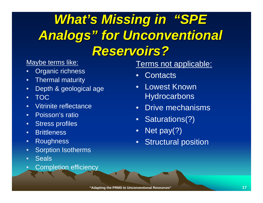# *What's Missing in "SPE Analogs Analogs " for Unconventional for Unconventional Reservoirs? Reservoirs?*

#### Maybe terms like:

- •Organic richness
- •Thermal maturity
- •Depth & geological age
- •TOC
- •• Vitrinite reflectance
- •Poisson's ratio
- •Stress profiles
- •Brittleness
- •Roughness
- •Sorption Isotherms
- •• Seals
- •Completion efficiency

### Terms not applicable:

- •Contacts
- Lowest Known **Hydrocarbons**
- $\bullet$ Drive mechanisms
- $\bullet$ Saturations(?)
- $\bullet$ Net pay(?)
- Structural position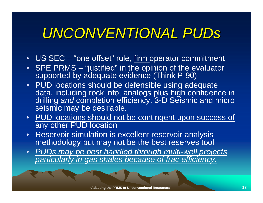# *UNCONVENTIONAL UNCONVENTIONAL PUDs*

- US SEC "one offset" rule, firm operator commitment
- • SPE PRMS – "justified" in the opinion of the evaluator supported by adequate evidence (Think P-90)
- PUD locations should be defensible using adequate data, including rock info, analogs plus high confidence in drilling *and* completion efficiency. 3-D Seismic and micro seismic may be desirable.
- • PUD locations should not be contingent upon success of any other PUD location
- • Reservoir simulation is excellent reservoir analysis methodology but may not be the best reserves tool
- $\bullet$  *PUDs may be best handled through multi-well projects particularly in gas shales because of frac efficiency.*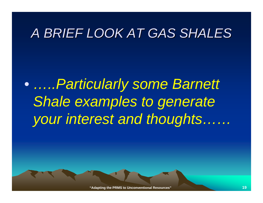## *A BRIEF LOOK AT GAS SHALES A BRIEF LOOK AT GAS SHALES*

 $\bullet$  *…..Particularly some Barnett*  **Shale examples to generate** *your interest and thoughts……*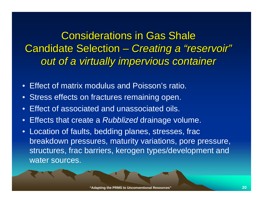**Considerations in Gas Shale Candidate Selection** e a serie de la provincia de *Creating a Creating a "reservoir reservoir"* **out of a virtually impervious container** 

- Effect of matrix modulus and Poisson's ratio.
- Stress effects on fractures remaining open.
- •Effect of associated and unassociated oils.
- •Effects that create a *Rubblized* drainage volume.
- Location of faults, bedding planes, stresses, frac breakdown pressures, maturity variations, pore pressure, structures, frac barriers, kerogen types/development and water sources.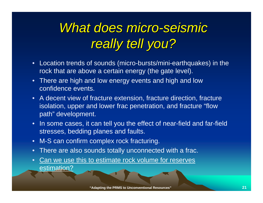# *What does micro What does micro -seismic seismic really tell you? really tell you?*

- $\bullet$  Location trends of sounds (micro-bursts/mini-earthquakes) in the rock that are above a certain energy (the gate level).
- There are high and low energy events and high and low confidence events.
- A decent view of fracture extension, fracture direction, fracture isolation, upper and lower frac penetration, and fracture "flow path" development.
- • In some cases, it can tell you the effect of near-field and far-field stresses, bedding planes and faults.
- •M-S can confirm complex rock fracturing.
- •There are also sounds totally unconnected with a frac.
- • Can we use this to estimate rock volume for reserves estimation?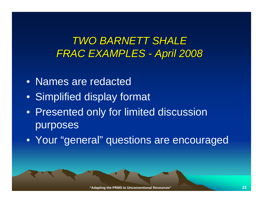**TWO BARNETT SHALE** *FRAC EXAMPLES -April 2008 April 2008*

- Names are redacted
- Simplified display format
- Presented only for limited discussion purposes
- Your "general" questions are encouraged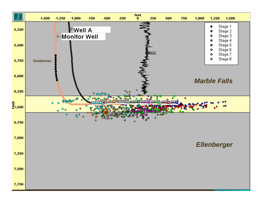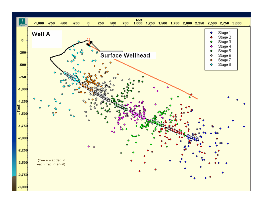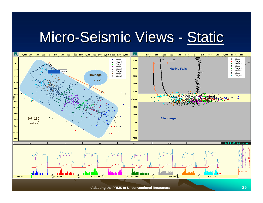#### Micro-Seismic Views - Static



**"Adapting the PRMS to Unconventional Resources" 25**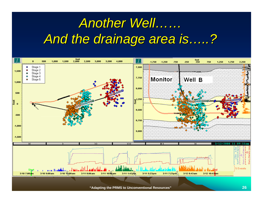# *Another Well Another Well…… And the drainage area is And the drainage area is …..?*



**"Adapting the PRMS to Unconventional Resources" 26**